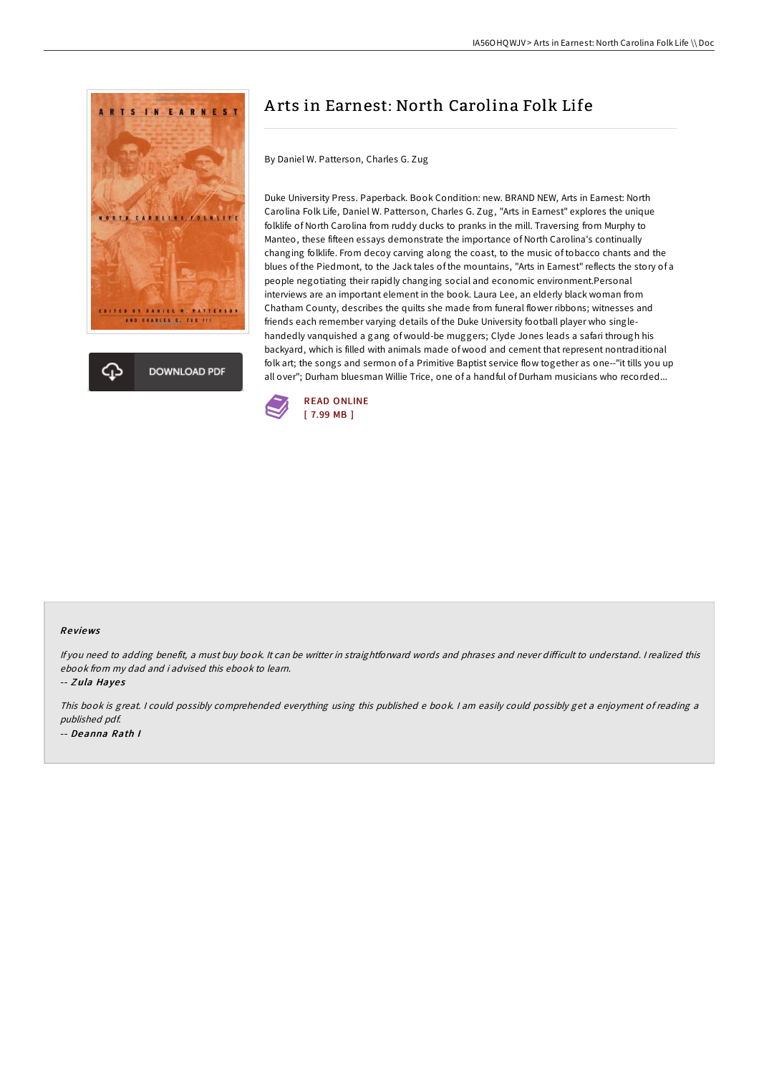



# A rts in Earnest: North Carolina Folk Life

By Daniel W. Patterson, Charles G. Zug

Duke University Press. Paperback. Book Condition: new. BRAND NEW, Arts in Earnest: North Carolina Folk Life, Daniel W. Patterson, Charles G. Zug, "Arts in Earnest" explores the unique folklife of North Carolina from ruddy ducks to pranks in the mill. Traversing from Murphy to Manteo, these fifteen essays demonstrate the importance of North Carolina's continually changing folklife. From decoy carving along the coast, to the music of tobacco chants and the blues of the Piedmont, to the Jack tales of the mountains, "Arts in Earnest" reflects the story of a people negotiating their rapidly changing social and economic environment.Personal interviews are an important element in the book. Laura Lee, an elderly black woman from Chatham County, describes the quilts she made from funeral flower ribbons; witnesses and friends each remember varying details of the Duke University football player who singlehandedly vanquished a gang of would-be muggers; Clyde Jones leads a safari through his backyard, which is filled with animals made of wood and cement that represent nontraditional folk art; the songs and sermon of a Primitive Baptist service flow together as one--"it tills you up all over"; Durham bluesman Willie Trice, one of a handful of Durham musicians who recorded...



#### Re views

If you need to adding benefit, a must buy book. It can be writter in straightforward words and phrases and never difficult to understand. I realized this ebook from my dad and i advised this ebook to learn.

-- Zula Hayes

This book is great. <sup>I</sup> could possibly comprehended everything using this published <sup>e</sup> book. <sup>I</sup> am easily could possibly get <sup>a</sup> enjoyment of reading <sup>a</sup> published pdf. -- Deanna Rath I